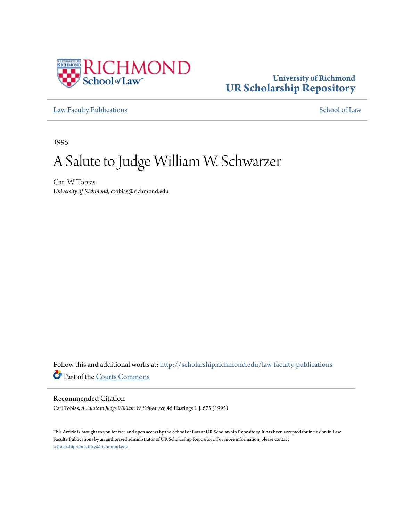

## **University of Richmond [UR Scholarship Repository](http://scholarship.richmond.edu?utm_source=scholarship.richmond.edu%2Flaw-faculty-publications%2F839&utm_medium=PDF&utm_campaign=PDFCoverPages)**

[Law Faculty Publications](http://scholarship.richmond.edu/law-faculty-publications?utm_source=scholarship.richmond.edu%2Flaw-faculty-publications%2F839&utm_medium=PDF&utm_campaign=PDFCoverPages) [School of Law](http://scholarship.richmond.edu/law?utm_source=scholarship.richmond.edu%2Flaw-faculty-publications%2F839&utm_medium=PDF&utm_campaign=PDFCoverPages)

1995

# A Salute to Judge William W. Schwarzer

Carl W. Tobias *University of Richmond*, ctobias@richmond.edu

Follow this and additional works at: [http://scholarship.richmond.edu/law-faculty-publications](http://scholarship.richmond.edu/law-faculty-publications?utm_source=scholarship.richmond.edu%2Flaw-faculty-publications%2F839&utm_medium=PDF&utm_campaign=PDFCoverPages) Part of the [Courts Commons](http://network.bepress.com/hgg/discipline/839?utm_source=scholarship.richmond.edu%2Flaw-faculty-publications%2F839&utm_medium=PDF&utm_campaign=PDFCoverPages)

#### Recommended Citation

Carl Tobias, *A Salute to Judge William W. Schwarzer,* 46 Hastings L.J. 675 (1995)

This Article is brought to you for free and open access by the School of Law at UR Scholarship Repository. It has been accepted for inclusion in Law Faculty Publications by an authorized administrator of UR Scholarship Repository. For more information, please contact [scholarshiprepository@richmond.edu.](mailto:scholarshiprepository@richmond.edu)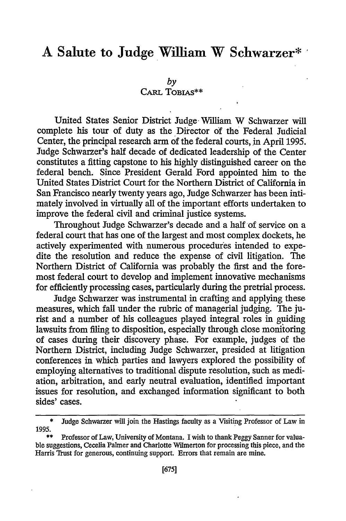## **A Salute to Judge William W Schwarzer\***

*by* 

### CARL TORIAS\*\*

United States Senior District Judge· William W Schwarzer will complete his tour of duty as the Director of the Federal Judicial Center, the principal research arm of the federal courts, in April 1995. Judge Schwarzer's half decade of dedicated leadership of the Center constitutes a fitting capstone to his highly distinguished career on the federal bench. Since President Gerald Ford appointed him to the United States District Court for the Northern District of California in San Francisco nearly twenty years ago, Judge Schwarzer has been intimately involved in virtually all of the important efforts undertaken to improve the federal civil and criminal justice systems.

Throughout Judge Schwarzer's decade and a half of service on a federal court that has one of the largest and most complex dockets, he actively experimented with numerous procedures intended to expedite the resolution and reduce the expense of civil litigation. The Northern District of California was probably the first and the foremost federal court to develop and implement innovative mechanisms for efficiently processing cases, particularly during the pretrial process.

Judge Schwarzer was instrumental in crafting and applying these measures, which fall under the rubric of managerial judging. The jurist and a number of his colleagues played integral roles in guiding lawsuits from filing to disposition, especially through close monitoring of cases during their discovery phase. For example, judges of the Northern District, including Judge Schwarzer, presided at litigation conferences in which parties and lawyers explored the possibility of employing alternatives to traditional dispute resolution, such as mediation, arbitration, and early neutral evaluation, identified important issues for resolution, and exchanged information significant to both sides' cases.

<sup>\*</sup> Judge Schwarzer will join the Hastings faculty as a Visiting Professor of Law in 1995. .

Professor of Law, University of Montana. I wish to thank Peggy Sanner for valuable suggestions, Cecelia Palmer and Charlotte Wilmerton for processing this piece, and the Harris Trust for generous, continuing support. Errors that remain are mine.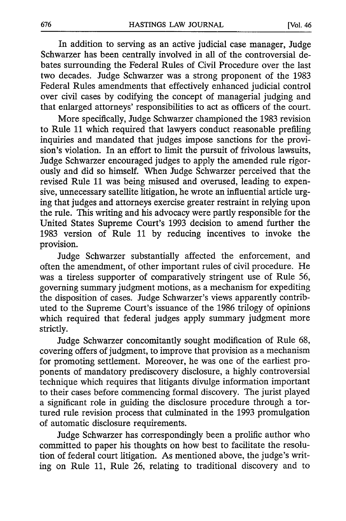In addition to serving as an active judicial case manager, Judge Schwarzer has been centrally involved in all of the controversial debates surrounding the Federal Rules of Civil Procedure over the last two decades. Judge Schwarzer was a strong proponent of the 1983 Federal Rules amendments that effectively enhanced judicial control over civil cases by codifying the concept of managerial judging and that enlarged attorneys' responsibilities to act as officers of the court.

More specifically, Judge Schwarzer championed the 1983 revision to Rule 11 which required that lawyers conduct reasonable prefiling inquiries and mandated that judges impose sanctions for the provision's violation. In an effort to limit the pursuit of frivolous lawsuits, Judge Schwarzer encouraged judges to apply the amended rule rigorously and did so himself. When Judge Schwarzer perceived that the revised Rule 11 was being misused and overused, leading to expensive, unnecessary satellite litigation, he wrote an influential article urging that judges and attorneys exercise greater restraint in relying upon the rule. This writing and his advocacy were partly responsible for the United States Supreme Court's 1993 decision to amend further the 1983 version of Rule 11 by reducing incentives to invoke the provision.

Judge Schwarzer substantially affected the enforcement, and often the amendment, of other important rules of civil procedure. He was a tireless supporter of comparatively stringent use of Rule 56, governing summary judgment motions, as a mechanism for expediting the disposition of cases. Judge Schwarzer's views apparently contributed to the Supreme Court's issuance of the 1986 trilogy of opinions which required that federal judges apply summary judgment more strictly.

Judge Schwarzer concomitantly sought modification of Rule 68, covering offers of judgment, to improve that provision as a mechanism for promoting settlement. Moreover, he was one of the earliest proponents of mandatory prediscovery disclosure, a highly controversial technique which requires that litigants divulge information important to their cases before commencing formal discovery. The jurist played a significant role in guiding the disclosure procedure through a tortured rule revision process that culminated in the 1993 promulgation of automatic disclosure requirements.

Judge Schwarzer has correspondingly been a prolific author who committed to paper his thoughts on how best to facilitate the resolution of federal court litigation. As mentioned above, the judge's writing on Rule 11, Rule 26, relating to traditional discovery and to